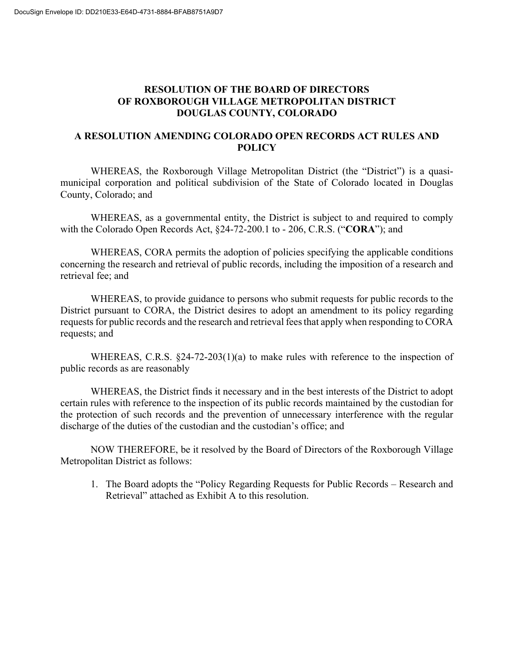# **RESOLUTION OF THE BOARD OF DIRECTORS OF ROXBOROUGH VILLAGE METROPOLITAN DISTRICT DOUGLAS COUNTY, COLORADO**

## **A RESOLUTION AMENDING COLORADO OPEN RECORDS ACT RULES AND POLICY**

WHEREAS, the Roxborough Village Metropolitan District (the "District") is a quasimunicipal corporation and political subdivision of the State of Colorado located in Douglas County, Colorado; and

WHEREAS, as a governmental entity, the District is subject to and required to comply with the Colorado Open Records Act, §24-72-200.1 to - 206, C.R.S. ("**CORA**"); and

WHEREAS, CORA permits the adoption of policies specifying the applicable conditions concerning the research and retrieval of public records, including the imposition of a research and retrieval fee; and

WHEREAS, to provide guidance to persons who submit requests for public records to the District pursuant to CORA, the District desires to adopt an amendment to its policy regarding requests for public records and the research and retrieval fees that apply when responding to CORA requests; and

WHEREAS, C.R.S.  $\S24-72-203(1)(a)$  to make rules with reference to the inspection of public records as are reasonably

WHEREAS, the District finds it necessary and in the best interests of the District to adopt certain rules with reference to the inspection of its public records maintained by the custodian for the protection of such records and the prevention of unnecessary interference with the regular discharge of the duties of the custodian and the custodian's office; and

NOW THEREFORE, be it resolved by the Board of Directors of the Roxborough Village Metropolitan District as follows:

1. The Board adopts the "Policy Regarding Requests for Public Records – Research and Retrieval" attached as Exhibit A to this resolution.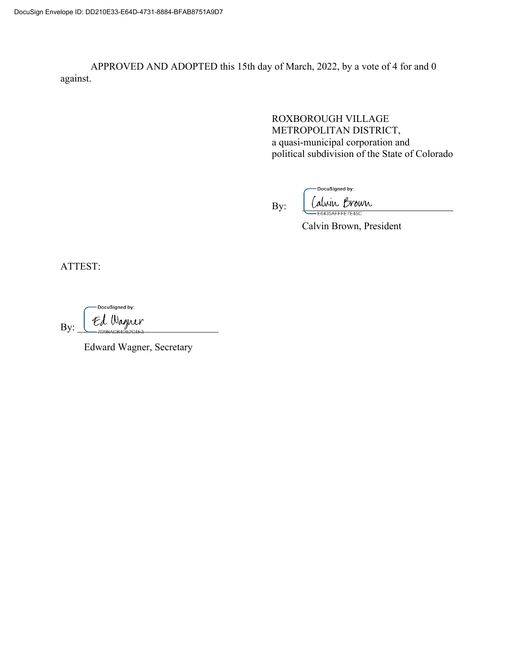APPROVED AND ADOPTED this 15th day of March, 2022, by a vote of 4 for and 0 against.

> ROXBOROUGH VILLAGE METROPOLITAN DISTRICT, a quasi-municipal corporation and political subdivision of the State of Colorado

By:

DocuSigned by: Calvin Brown

Calvin Brown, President

ATTEST:

DocuSigned by:  $By: \begin{array}{c} \in \mathcal{L} \ \mathcal{L} \end{array}$  Wagner

Edward Wagner, Secretary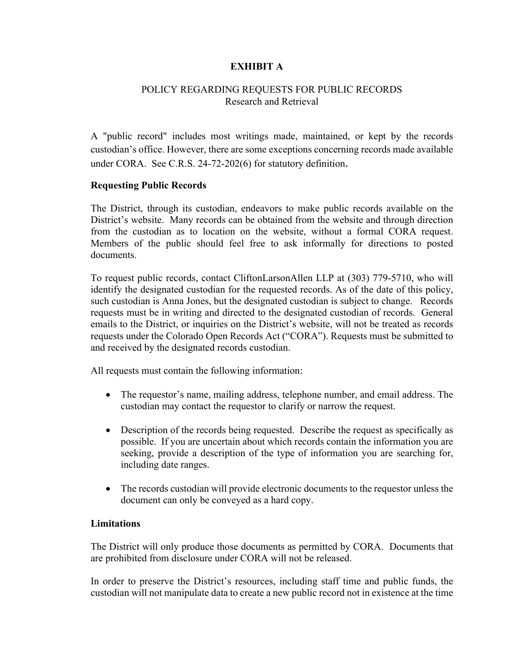## **EXHIBIT A**

## POLICY REGARDING REQUESTS FOR PUBLIC RECORDS Research and Retrieval

A "public record" includes most writings made, maintained, or kept by the records custodian's office. However, there are some exceptions concerning records made available under CORA. See C.R.S. 24-72-202(6) for statutory definition.

#### **Requesting Public Records**

The District, through its custodian, endeavors to make public records available on the District's website. Many records can be obtained from the website and through direction from the custodian as to location on the website, without a formal CORA request. Members of the public should feel free to ask informally for directions to posted documents.

To request public records, contact CliftonLarsonAllen LLP at (303) 779-5710, who will identify the designated custodian for the requested records. As of the date of this policy, such custodian is Anna Jones, but the designated custodian is subject to change. Records requests must be in writing and directed to the designated custodian of records. General emails to the District, or inquiries on the District's website, will not be treated as records requests under the Colorado Open Records Act ("CORA"). Requests must be submitted to and received by the designated records custodian.

All requests must contain the following information:

- The requestor's name, mailing address, telephone number, and email address. The custodian may contact the requestor to clarify or narrow the request.
- Description of the records being requested. Describe the request as specifically as possible. If you are uncertain about which records contain the information you are seeking, provide a description of the type of information you are searching for, including date ranges.
- The records custodian will provide electronic documents to the requestor unless the document can only be conveyed as a hard copy.

#### **Limitations**

The District will only produce those documents as permitted by CORA. Documents that are prohibited from disclosure under CORA will not be released.

In order to preserve the District's resources, including staff time and public funds, the custodian will not manipulate data to create a new public record not in existence at the time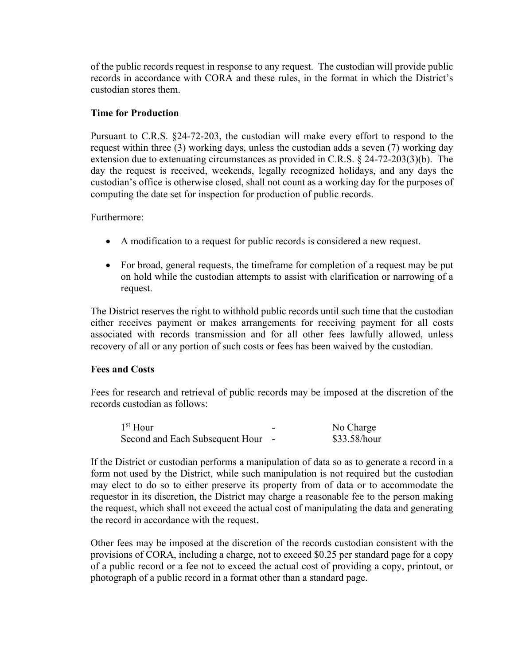of the public records request in response to any request. The custodian will provide public records in accordance with CORA and these rules, in the format in which the District's custodian stores them.

## **Time for Production**

Pursuant to C.R.S. §24-72-203, the custodian will make every effort to respond to the request within three (3) working days, unless the custodian adds a seven (7) working day extension due to extenuating circumstances as provided in C.R.S. § 24-72-203(3)(b). The day the request is received, weekends, legally recognized holidays, and any days the custodian's office is otherwise closed, shall not count as a working day for the purposes of computing the date set for inspection for production of public records.

Furthermore:

- A modification to a request for public records is considered a new request.
- For broad, general requests, the timeframe for completion of a request may be put on hold while the custodian attempts to assist with clarification or narrowing of a request.

The District reserves the right to withhold public records until such time that the custodian either receives payment or makes arrangements for receiving payment for all costs associated with records transmission and for all other fees lawfully allowed, unless recovery of all or any portion of such costs or fees has been waived by the custodian.

#### **Fees and Costs**

Fees for research and retrieval of public records may be imposed at the discretion of the records custodian as follows:

| $1st$ Hour                        | - | No Charge    |
|-----------------------------------|---|--------------|
| Second and Each Subsequent Hour - |   | \$33.58/hour |

If the District or custodian performs a manipulation of data so as to generate a record in a form not used by the District, while such manipulation is not required but the custodian may elect to do so to either preserve its property from of data or to accommodate the requestor in its discretion, the District may charge a reasonable fee to the person making the request, which shall not exceed the actual cost of manipulating the data and generating the record in accordance with the request.

Other fees may be imposed at the discretion of the records custodian consistent with the provisions of CORA, including a charge, not to exceed \$0.25 per standard page for a copy of a public record or a fee not to exceed the actual cost of providing a copy, printout, or photograph of a public record in a format other than a standard page.